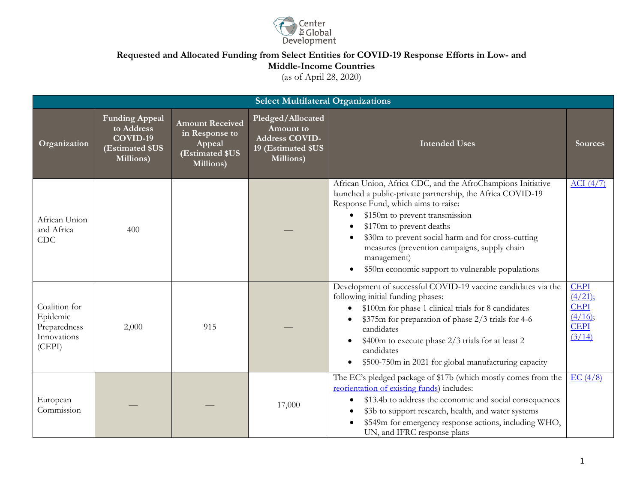

|                                                                    | <b>Select Multilateral Organizations</b>                                                |                                                                                            |                                                                                                           |                                                                                                                                                                                                                                                                                                                                                                                                         |                                                                           |  |  |
|--------------------------------------------------------------------|-----------------------------------------------------------------------------------------|--------------------------------------------------------------------------------------------|-----------------------------------------------------------------------------------------------------------|---------------------------------------------------------------------------------------------------------------------------------------------------------------------------------------------------------------------------------------------------------------------------------------------------------------------------------------------------------------------------------------------------------|---------------------------------------------------------------------------|--|--|
| Organization                                                       | <b>Funding Appeal</b><br>to Address<br>COVID-19<br>(Estimated \$US<br><b>Millions</b> ) | <b>Amount Received</b><br>in Response to<br>Appeal<br>(Estimated \$US<br><b>Millions</b> ) | Pledged/Allocated<br><b>Amount</b> to<br><b>Address COVID-</b><br>19 (Estimated \$US<br><b>Millions</b> ) | <b>Intended Uses</b>                                                                                                                                                                                                                                                                                                                                                                                    | Sources                                                                   |  |  |
| African Union<br>and Africa<br>CDC                                 | 400                                                                                     |                                                                                            |                                                                                                           | African Union, Africa CDC, and the AfroChampions Initiative<br>launched a public-private partnership, the Africa COVID-19<br>Response Fund, which aims to raise:<br>\$150m to prevent transmission<br>\$170m to prevent deaths<br>\$30m to prevent social harm and for cross-cutting<br>measures (prevention campaigns, supply chain<br>management)<br>\$50m economic support to vulnerable populations | $ACI$ (4/7)                                                               |  |  |
| Coalition for<br>Epidemic<br>Preparedness<br>Innovations<br>(CEPI) | 2,000                                                                                   | 915                                                                                        |                                                                                                           | Development of successful COVID-19 vaccine candidates via the<br>following initial funding phases:<br>\$100m for phase 1 clinical trials for 8 candidates<br>$\bullet$<br>\$375m for preparation of phase 2/3 trials for 4-6<br>candidates<br>\$400m to execute phase 2/3 trials for at least 2<br>candidates<br>\$500-750m in 2021 for global manufacturing capacity                                   | <b>CEPI</b><br>(4/21);<br><b>CEPI</b><br>(4/16);<br><b>CEPI</b><br>(3/14) |  |  |
| European<br>Commission                                             |                                                                                         |                                                                                            | 17,000                                                                                                    | The EC's pledged package of \$17b (which mostly comes from the<br>reorientation of existing funds) includes:<br>\$13.4b to address the economic and social consequences<br>$\bullet$<br>\$3b to support research, health, and water systems<br>\$549m for emergency response actions, including WHO,<br>UN, and IFRC response plans                                                                     | EC(4/8)                                                                   |  |  |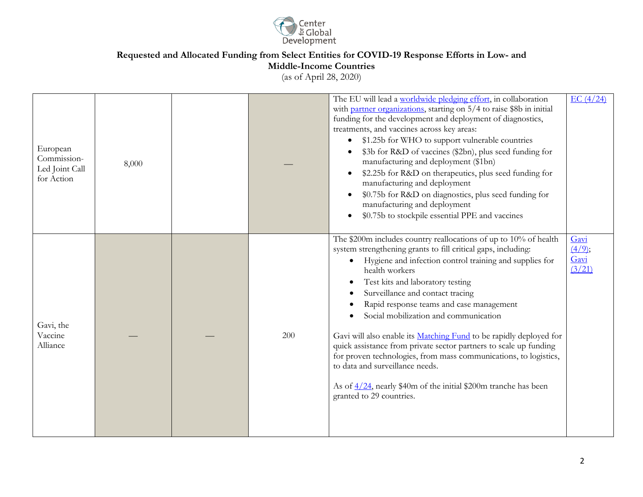

| European<br>Commission-<br>Led Joint Call<br>for Action | 8,000 |     | The EU will lead a worldwide pledging effort, in collaboration<br>with partner organizations, starting on 5/4 to raise \$8b in initial<br>funding for the development and deployment of diagnostics,<br>treatments, and vaccines across key areas:<br>\$1.25b for WHO to support vulnerable countries<br>$\bullet$<br>\$3b for R&D of vaccines (\$2bn), plus seed funding for<br>manufacturing and deployment (\$1bn)<br>\$2.25b for R&D on therapeutics, plus seed funding for<br>manufacturing and deployment<br>\$0.75b for R&D on diagnostics, plus seed funding for<br>manufacturing and deployment<br>\$0.75b to stockpile essential PPE and vaccines<br>The \$200m includes country reallocations of up to 10% of health | EC(4/24)<br>Gavi         |
|---------------------------------------------------------|-------|-----|---------------------------------------------------------------------------------------------------------------------------------------------------------------------------------------------------------------------------------------------------------------------------------------------------------------------------------------------------------------------------------------------------------------------------------------------------------------------------------------------------------------------------------------------------------------------------------------------------------------------------------------------------------------------------------------------------------------------------------|--------------------------|
| Gavi, the<br>Vaccine<br>Alliance                        |       | 200 | system strengthening grants to fill critical gaps, including:<br>Hygiene and infection control training and supplies for<br>health workers<br>Test kits and laboratory testing<br>Surveillance and contact tracing<br>Rapid response teams and case management<br>Social mobilization and communication<br>Gavi will also enable its Matching Fund to be rapidly deployed for<br>quick assistance from private sector partners to scale up funding<br>for proven technologies, from mass communications, to logistics,<br>to data and surveillance needs.<br>As of $4/24$ , nearly \$40m of the initial \$200m tranche has been<br>granted to 29 countries.                                                                     | (4/9);<br>Gavi<br>(3/21) |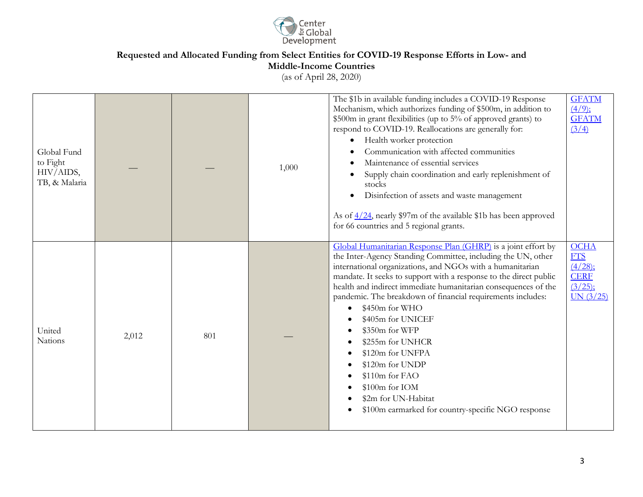

| Global Fund<br>to Fight<br>HIV/AIDS,<br>TB, & Malaria |       |     | 1,000 | The \$1b in available funding includes a COVID-19 Response<br>Mechanism, which authorizes funding of \$500m, in addition to<br>\$500m in grant flexibilities (up to 5% of approved grants) to<br>respond to COVID-19. Reallocations are generally for:<br>Health worker protection<br>Communication with affected communities<br>Maintenance of essential services<br>Supply chain coordination and early replenishment of<br>stocks<br>Disinfection of assets and waste management<br>As of $4/24$ , nearly \$97m of the available \$1b has been approved<br>for 66 countries and 5 regional grants.                                      | <b>GFATM</b><br>$(4/9)$ ;<br><b>GFATM</b><br>(3/4)                          |
|-------------------------------------------------------|-------|-----|-------|--------------------------------------------------------------------------------------------------------------------------------------------------------------------------------------------------------------------------------------------------------------------------------------------------------------------------------------------------------------------------------------------------------------------------------------------------------------------------------------------------------------------------------------------------------------------------------------------------------------------------------------------|-----------------------------------------------------------------------------|
| United<br>Nations                                     | 2,012 | 801 |       | Global Humanitarian Response Plan (GHRP) is a joint effort by<br>the Inter-Agency Standing Committee, including the UN, other<br>international organizations, and NGOs with a humanitarian<br>mandate. It seeks to support with a response to the direct public<br>health and indirect immediate humanitarian consequences of the<br>pandemic. The breakdown of financial requirements includes:<br>\$450m for WHO<br>٠<br>\$405m for UNICEF<br>\$350m for WFP<br>\$255m for UNHCR<br>\$120m for UNFPA<br>\$120m for UNDP<br>\$110m for FAO<br>\$100m for IOM<br>\$2m for UN-Habitat<br>\$100m earmarked for country-specific NGO response | <b>OCHA</b><br><b>FTS</b><br>(4/28);<br><b>CERF</b><br>(3/25);<br>UN (3/25) |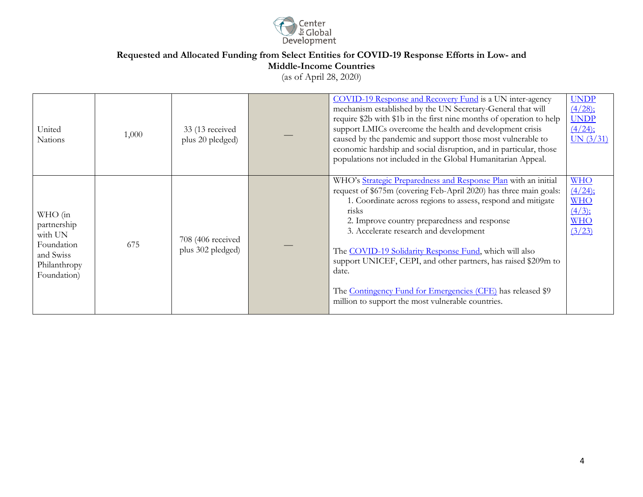

| United<br>Nations                                                                           | 1,000 | 33 (13 received<br>plus 20 pledged)    | COVID-19 Response and Recovery Fund is a UN inter-agency<br>mechanism established by the UN Secretary-General that will<br>require \$2b with \$1b in the first nine months of operation to help<br>support LMICs overcome the health and development crisis<br>caused by the pandemic and support those most vulnerable to<br>economic hardship and social disruption, and in particular, those<br>populations not included in the Global Humanitarian Appeal.                                                                                                  | <b>UNDP</b><br>(4/28);<br><b>UNDP</b><br>(4/24);<br>UN (3/31)               |
|---------------------------------------------------------------------------------------------|-------|----------------------------------------|-----------------------------------------------------------------------------------------------------------------------------------------------------------------------------------------------------------------------------------------------------------------------------------------------------------------------------------------------------------------------------------------------------------------------------------------------------------------------------------------------------------------------------------------------------------------|-----------------------------------------------------------------------------|
| WHO (in<br>partnership<br>with UN<br>Foundation<br>and Swiss<br>Philanthropy<br>Foundation) | 675   | 708 (406 received<br>plus 302 pledged) | WHO's Strategic Preparedness and Response Plan with an initial<br>request of \$675m (covering Feb-April 2020) has three main goals:<br>1. Coordinate across regions to assess, respond and mitigate<br>risks<br>2. Improve country preparedness and response<br>3. Accelerate research and development<br>The COVID-19 Solidarity Response Fund, which will also<br>support UNICEF, CEPI, and other partners, has raised \$209m to<br>date.<br>The Contingency Fund for Emergencies (CFE) has released \$9<br>million to support the most vulnerable countries. | <b>WHO</b><br>$(4/24)$ ;<br><b>WHO</b><br>$(4/3)$ ;<br><b>WHO</b><br>(3/23) |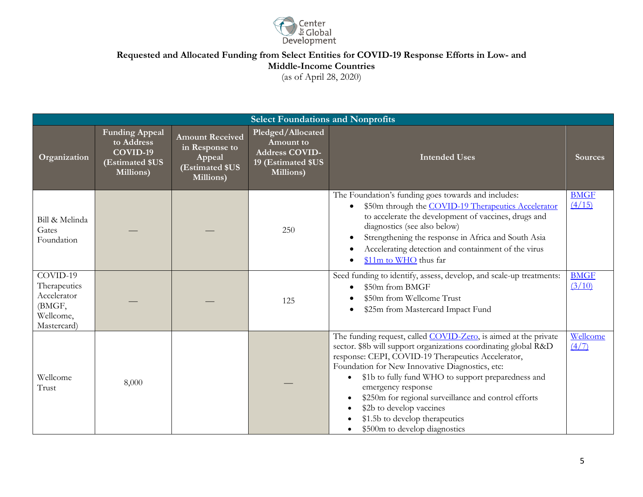

|                                                                               |                                                                                         |                                                                                    | <b>Select Foundations and Nonprofits</b>                                                           |                                                                                                                                                                                                                                                                                                                                                                                                                                                                                                     |                       |
|-------------------------------------------------------------------------------|-----------------------------------------------------------------------------------------|------------------------------------------------------------------------------------|----------------------------------------------------------------------------------------------------|-----------------------------------------------------------------------------------------------------------------------------------------------------------------------------------------------------------------------------------------------------------------------------------------------------------------------------------------------------------------------------------------------------------------------------------------------------------------------------------------------------|-----------------------|
| Organization                                                                  | <b>Funding Appeal</b><br>to Address<br>COVID-19<br>(Estimated \$US<br><b>Millions</b> ) | <b>Amount Received</b><br>in Response to<br>Appeal<br>(Estimated \$US<br>Millions) | Pledged/Allocated<br>Amount to<br><b>Address COVID-</b><br>19 (Estimated \$US<br><b>Millions</b> ) | <b>Intended Uses</b>                                                                                                                                                                                                                                                                                                                                                                                                                                                                                | Sources               |
| Bill & Melinda<br>Gates<br>Foundation                                         |                                                                                         |                                                                                    | 250                                                                                                | The Foundation's funding goes towards and includes:<br>\$50m through the COVID-19 Therapeutics Accelerator<br>to accelerate the development of vaccines, drugs and<br>diagnostics (see also below)<br>Strengthening the response in Africa and South Asia<br>Accelerating detection and containment of the virus<br>\$11m to WHO thus far                                                                                                                                                           | <b>BMGF</b><br>(4/15) |
| COVID-19<br>Therapeutics<br>Accelerator<br>(BMGF,<br>Wellcome,<br>Mastercard) |                                                                                         |                                                                                    | 125                                                                                                | Seed funding to identify, assess, develop, and scale-up treatments:<br>\$50m from BMGF<br>\$50m from Wellcome Trust<br>\$25m from Mastercard Impact Fund                                                                                                                                                                                                                                                                                                                                            | <b>BMGF</b><br>(3/10) |
| Wellcome<br>Trust                                                             | 8,000                                                                                   |                                                                                    |                                                                                                    | The funding request, called <b>COVID-Zero</b> , is aimed at the private<br>sector. \$8b will support organizations coordinating global R&D<br>response: CEPI, COVID-19 Therapeutics Accelerator,<br>Foundation for New Innovative Diagnostics, etc:<br>\$1b to fully fund WHO to support preparedness and<br>$\bullet$<br>emergency response<br>\$250m for regional surveillance and control efforts<br>\$2b to develop vaccines<br>\$1.5b to develop therapeutics<br>\$500m to develop diagnostics | Wellcome<br>(4/7)     |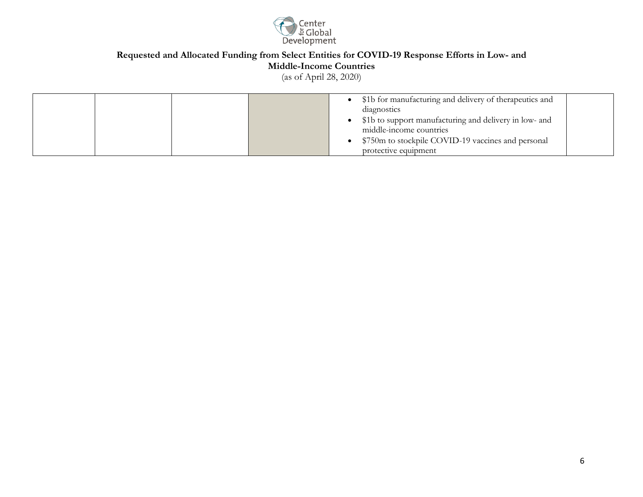

|  |  | \$1b for manufacturing and delivery of therapeutics and<br>diagnostics<br>\$1b to support manufacturing and delivery in low- and<br>middle-income countries<br>\$750m to stockpile COVID-19 vaccines and personal |
|--|--|-------------------------------------------------------------------------------------------------------------------------------------------------------------------------------------------------------------------|
|  |  | protective equipment                                                                                                                                                                                              |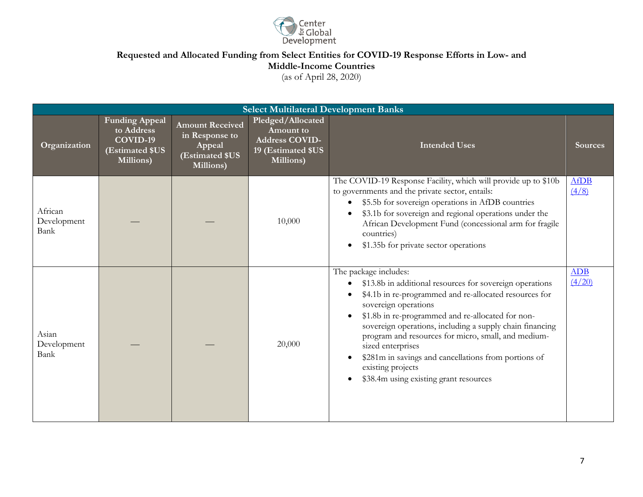

| <b>Select Multilateral Development Banks</b> |                                                                                         |                                                                                            |                                                                                            |                                                                                                                                                                                                                                                                                                                                                                                                                                                                                         |                      |  |
|----------------------------------------------|-----------------------------------------------------------------------------------------|--------------------------------------------------------------------------------------------|--------------------------------------------------------------------------------------------|-----------------------------------------------------------------------------------------------------------------------------------------------------------------------------------------------------------------------------------------------------------------------------------------------------------------------------------------------------------------------------------------------------------------------------------------------------------------------------------------|----------------------|--|
| Organization                                 | <b>Funding Appeal</b><br>to Address<br>COVID-19<br>(Estimated \$US<br><b>Millions</b> ) | <b>Amount Received</b><br>in Response to<br>Appeal<br>(Estimated \$US<br><b>Millions</b> ) | Pledged/Allocated<br>Amount to<br><b>Address COVID-</b><br>19 (Estimated \$US<br>Millions) | <b>Intended Uses</b>                                                                                                                                                                                                                                                                                                                                                                                                                                                                    | <b>Sources</b>       |  |
| African<br>Development<br>Bank               |                                                                                         |                                                                                            | 10,000                                                                                     | The COVID-19 Response Facility, which will provide up to \$10b<br>to governments and the private sector, entails:<br>\$5.5b for sovereign operations in AfDB countries<br>$\bullet$<br>\$3.1b for sovereign and regional operations under the<br>African Development Fund (concessional arm for fragile<br>countries)<br>\$1.35b for private sector operations<br>$\bullet$                                                                                                             | AfDB<br>(4/8)        |  |
| Asian<br>Development<br>Bank                 |                                                                                         |                                                                                            | 20,000                                                                                     | The package includes:<br>\$13.8b in additional resources for sovereign operations<br>\$4.1b in re-programmed and re-allocated resources for<br>sovereign operations<br>\$1.8b in re-programmed and re-allocated for non-<br>sovereign operations, including a supply chain financing<br>program and resources for micro, small, and medium-<br>sized enterprises<br>\$281m in savings and cancellations from portions of<br>existing projects<br>\$38.4m using existing grant resources | <b>ADB</b><br>(4/20) |  |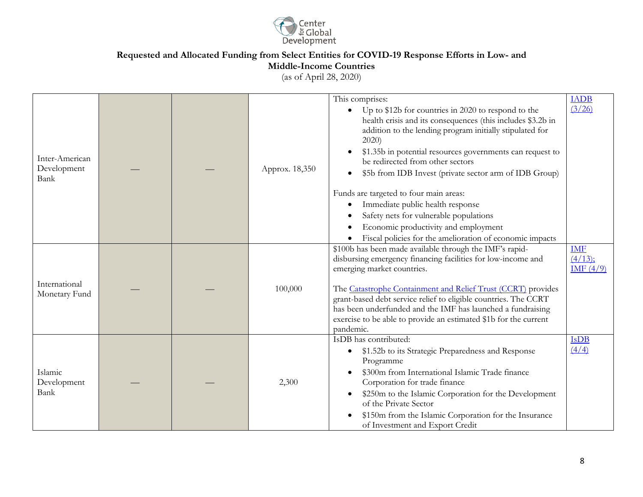

| Inter-American<br>Development<br>Bank |  | Approx. 18,350 | This comprises:<br>Up to \$12b for countries in 2020 to respond to the<br>health crisis and its consequences (this includes \$3.2b in<br>addition to the lending program initially stipulated for<br>2020<br>\$1.35b in potential resources governments can request to<br>be redirected from other sectors<br>\$5b from IDB Invest (private sector arm of IDB Group)                                                                     | <b>IADB</b><br>(3/26)                |
|---------------------------------------|--|----------------|------------------------------------------------------------------------------------------------------------------------------------------------------------------------------------------------------------------------------------------------------------------------------------------------------------------------------------------------------------------------------------------------------------------------------------------|--------------------------------------|
|                                       |  |                | Funds are targeted to four main areas:<br>Immediate public health response<br>Safety nets for vulnerable populations<br>Economic productivity and employment<br>Fiscal policies for the amelioration of economic impacts                                                                                                                                                                                                                 |                                      |
| International<br>Monetary Fund        |  | 100,000        | \$100b has been made available through the IMF's rapid-<br>disbursing emergency financing facilities for low-income and<br>emerging market countries.<br>The Catastrophe Containment and Relief Trust (CCRT) provides<br>grant-based debt service relief to eligible countries. The CCRT<br>has been underfunded and the IMF has launched a fundraising<br>exercise to be able to provide an estimated \$1b for the current<br>pandemic. | <b>IMF</b><br>(4/13);<br>IMF $(4/9)$ |
| Islamic<br>Development<br>Bank        |  | 2,300          | IsDB has contributed:<br>\$1.52b to its Strategic Preparedness and Response<br>$\bullet$<br>Programme<br>\$300m from International Islamic Trade finance<br>Corporation for trade finance<br>\$250m to the Islamic Corporation for the Development<br>of the Private Sector<br>\$150m from the Islamic Corporation for the Insurance<br>of Investment and Export Credit                                                                  | <b>IsDB</b><br>(4/4)                 |